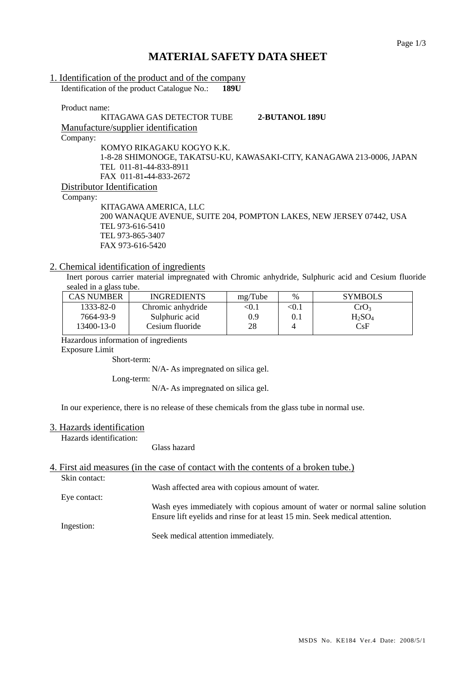# **MATERIAL SAFETY DATA SHEET**

| 1. Identification of the product and of the company                   |
|-----------------------------------------------------------------------|
| Identification of the product Catalogue No.:<br>189U                  |
|                                                                       |
| Product name:                                                         |
| KITAGAWA GAS DETECTOR TUBE<br>2-BUTANOL 189U                          |
| Manufacture/supplier identification                                   |
| Company:                                                              |
| KOMYO RIKAGAKU KOGYO K.K.                                             |
| 1-8-28 SHIMONOGE, TAKATSU-KU, KAWASAKI-CITY, KANAGAWA 213-0006, JAPAN |
| TEL 011-81-44-833-8911                                                |
| FAX 011-81-44-833-2672                                                |
| Distributor Identification                                            |
| Company:                                                              |
| KITAGAWA AMERICA, LLC                                                 |
| 200 WANAQUE AVENUE, SUITE 204, POMPTON LAKES, NEW JERSEY 07442, USA   |
| TEL 973-616-5410                                                      |
| TEL 973-865-3407                                                      |

## 2. Chemical identification of ingredients

FAX 973-616-5420

Inert porous carrier material impregnated with Chromic anhydride, Sulphuric acid and Cesium fluoride sealed in a glass tube.

| CAS NUMBER | <b>INGREDIENTS</b> | mg/Tube | %     | <b>SYMBOLS</b>   |
|------------|--------------------|---------|-------|------------------|
| 1333-82-0  | Chromic anhydride  | <0.1    | < 0.1 | CrO <sub>3</sub> |
| 7664-93-9  | Sulphuric acid     | 0.9     |       | $H_2SO_4$        |
| 13400-13-0 | Cesium fluoride    | 28      |       | CsF              |

Hazardous information of ingredients

Exposure Limit

Short-term:

N/A- As impregnated on silica gel.

Long-term:

N/A- As impregnated on silica gel.

In our experience, there is no release of these chemicals from the glass tube in normal use.

#### 3. Hazards identification

Hazards identification:

Glass hazard

#### 4. First aid measures (in the case of contact with the contents of a broken tube.) Skin contact:

Wash affected area with copious amount of water.

Eye contact:

Wash eyes immediately with copious amount of water or normal saline solution Ensure lift eyelids and rinse for at least 15 min. Seek medical attention.

Ingestion:

Seek medical attention immediately.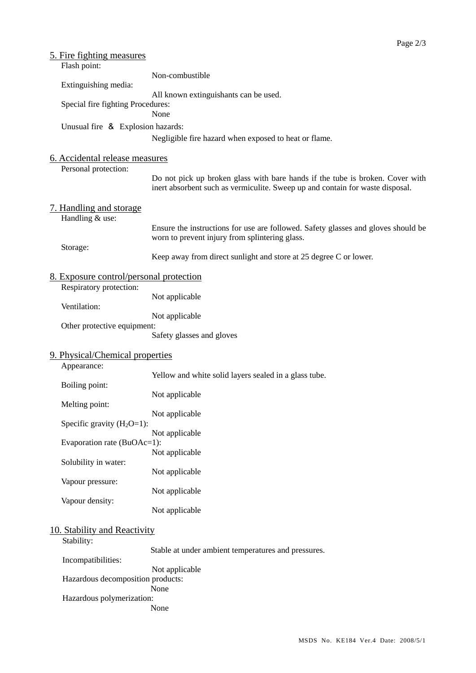| <u>5. Fire fighting measures</u><br>Flash point:       |                                                                                                                                                                |  |  |  |  |
|--------------------------------------------------------|----------------------------------------------------------------------------------------------------------------------------------------------------------------|--|--|--|--|
| Extinguishing media:                                   | Non-combustible                                                                                                                                                |  |  |  |  |
|                                                        | All known extinguishants can be used.                                                                                                                          |  |  |  |  |
| Special fire fighting Procedures:                      | None                                                                                                                                                           |  |  |  |  |
| Unusual fire & Explosion hazards:                      |                                                                                                                                                                |  |  |  |  |
|                                                        | Negligible fire hazard when exposed to heat or flame.                                                                                                          |  |  |  |  |
| 6. Accidental release measures<br>Personal protection: |                                                                                                                                                                |  |  |  |  |
|                                                        | Do not pick up broken glass with bare hands if the tube is broken. Cover with<br>inert absorbent such as vermiculite. Sweep up and contain for waste disposal. |  |  |  |  |
| 7. Handling and storage<br>Handling & use:             |                                                                                                                                                                |  |  |  |  |
|                                                        | Ensure the instructions for use are followed. Safety glasses and gloves should be<br>worn to prevent injury from splintering glass.                            |  |  |  |  |
| Storage:                                               | Keep away from direct sunlight and store at 25 degree C or lower.                                                                                              |  |  |  |  |
| 8. Exposure control/personal protection                |                                                                                                                                                                |  |  |  |  |
| Respiratory protection:                                | Not applicable                                                                                                                                                 |  |  |  |  |
| Ventilation:                                           | Not applicable                                                                                                                                                 |  |  |  |  |
| Other protective equipment:                            | Safety glasses and gloves                                                                                                                                      |  |  |  |  |
| 9. Physical/Chemical properties<br>Appearance:         |                                                                                                                                                                |  |  |  |  |
|                                                        | Yellow and white solid layers sealed in a glass tube.                                                                                                          |  |  |  |  |
| Boiling point:                                         | Not applicable                                                                                                                                                 |  |  |  |  |
| Melting point:                                         | Not applicable                                                                                                                                                 |  |  |  |  |
| Specific gravity $(H_2O=1)$ :                          | Not applicable                                                                                                                                                 |  |  |  |  |
| Evaporation rate (BuOAc=1):                            | Not applicable                                                                                                                                                 |  |  |  |  |
| Solubility in water:                                   |                                                                                                                                                                |  |  |  |  |
| Vapour pressure:                                       | Not applicable                                                                                                                                                 |  |  |  |  |
| Vapour density:                                        | Not applicable                                                                                                                                                 |  |  |  |  |
|                                                        | Not applicable                                                                                                                                                 |  |  |  |  |
| 10. Stability and Reactivity<br>Stability:             |                                                                                                                                                                |  |  |  |  |
| Incompatibilities:                                     | Stable at under ambient temperatures and pressures.                                                                                                            |  |  |  |  |
| Hazardous decomposition products:                      | Not applicable                                                                                                                                                 |  |  |  |  |
| Hazardous polymerization:                              | None<br>None                                                                                                                                                   |  |  |  |  |